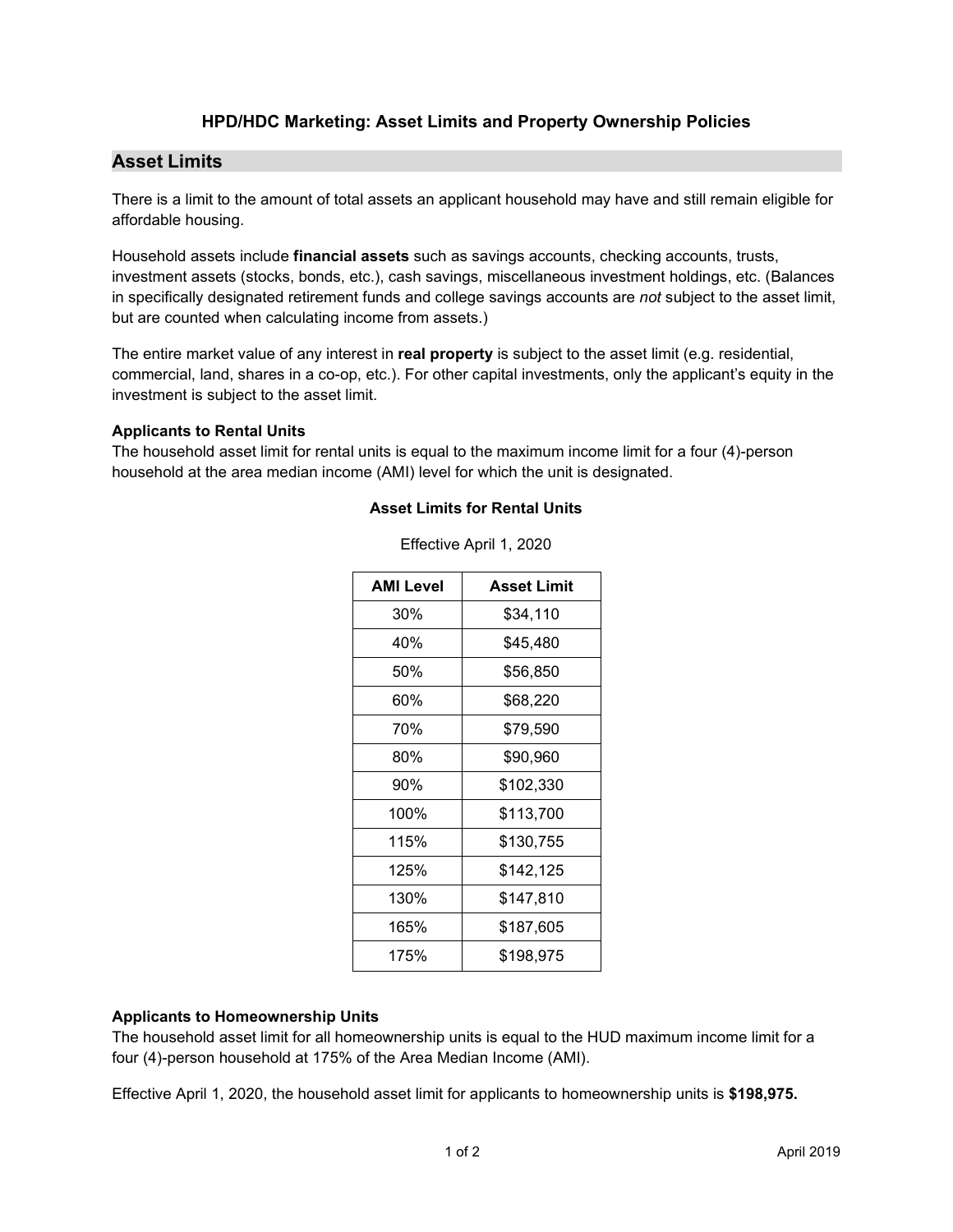# **HPD/HDC Marketing: Asset Limits and Property Ownership Policies**

# **Asset Limits**

There is a limit to the amount of total assets an applicant household may have and still remain eligible for affordable housing.

Household assets include **financial assets** such as savings accounts, checking accounts, trusts, investment assets (stocks, bonds, etc.), cash savings, miscellaneous investment holdings, etc. (Balances in specifically designated retirement funds and college savings accounts are *not* subject to the asset limit, but are counted when calculating income from assets.)

The entire market value of any interest in **real property** is subject to the asset limit (e.g. residential, commercial, land, shares in a co-op, etc.). For other capital investments, only the applicant's equity in the investment is subject to the asset limit.

## **Applicants to Rental Units**

The household asset limit for rental units is equal to the maximum income limit for a four (4)-person household at the area median income (AMI) level for which the unit is designated.

## **Asset Limits for Rental Units**

| AMI Level | <b>Asset Limit</b> |
|-----------|--------------------|
| 30%       | \$34,110           |
| 40%       | \$45,480           |
| 50%       | \$56,850           |
| 60%       | \$68,220           |
| 70%       | \$79,590           |
| 80%       | \$90,960           |
| 90%       | \$102,330          |
| 100%      | \$113,700          |
| 115%      | \$130,755          |
| 125%      | \$142,125          |
| 130%      | \$147,810          |
| 165%      | \$187,605          |
| 175%      | \$198,975          |

Effective April 1, 2020

#### **Applicants to Homeownership Units**

The household asset limit for all homeownership units is equal to the HUD maximum income limit for a four (4)-person household at 175% of the Area Median Income (AMI).

Effective April 1, 2020, the household asset limit for applicants to homeownership units is **\$198,975.**